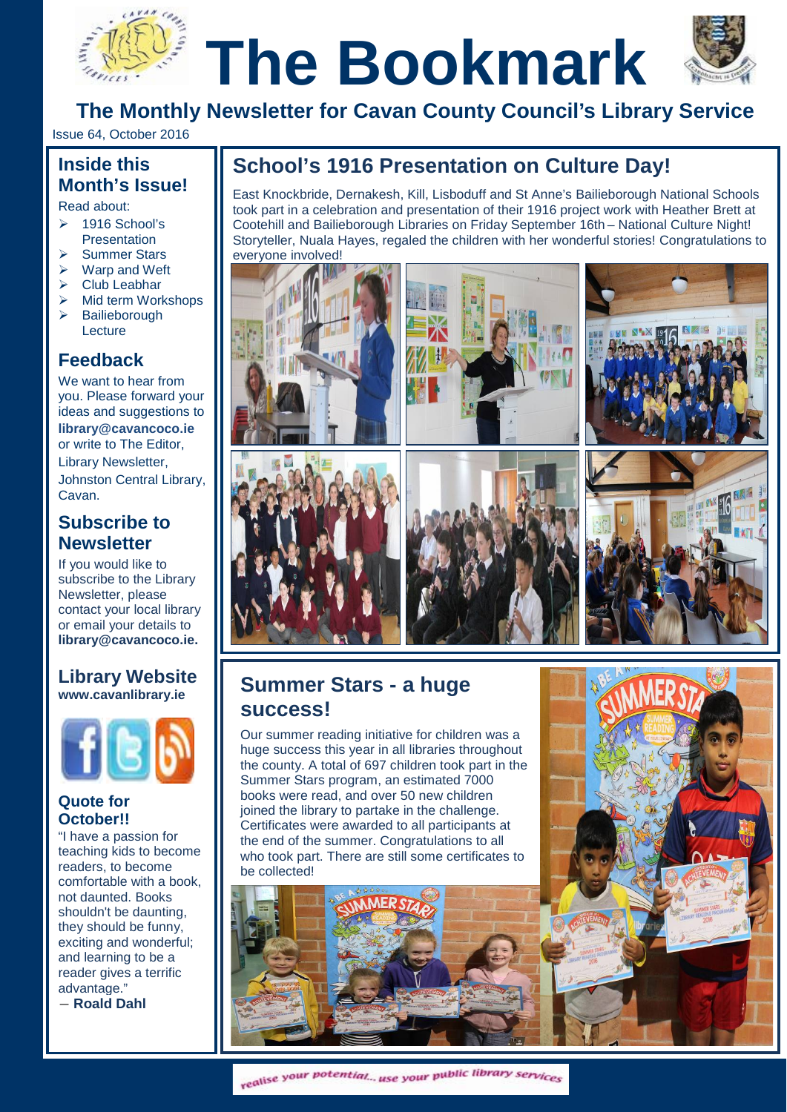# **TheBookmark The Monthly Newsletter for Cavan County Council's Library Service**



Issue 64, October 2016

# **Inside this Month's Issue!**

Read about:

- Read about:<br><mark>> 1916 School's</mark> Presentation
- Summer Stars
- $\triangleright$  Warp and Weft
- $\triangleright$  Club Leabhar
- $\triangleright$  Mid term Workshops
- > Bailieborough **Lecture**

## **Feedback**

We want to hear from you. Please forward your ideas and suggestions to **[library@cavancoco.ie](mailto:info@cavanlibrary.ie?subject=Newsletter%20ideas%20&%20Feedback)** or write to The Editor, Library Newsletter, Johnston Central Library, Cavan.

## **Subscribe to Newsletter**

If you would like to subscribe to the Library Newsletter, please contact your local library or email your details to **[library@cavancoco.ie.](mailto:library@cavancoco.ie)**

## **Library Website [www.cavanlibrary.ie](http://www.cavanlibrary.ie/)**



## **Quote for October!!**

"I have a passion for teaching kids to become readers, to become comfortable with a book, not daunted. Books shouldn't be daunting, they should be funny, exciting and wonderful; and learning to be a reader gives a terrific advantage."

― **[Roald Dahl](http://www.goodreads.com/author/show/4273.Roald_Dahl)**

## **School's 1916 Presentation on Culture Day!**

East Knockbride, Dernakesh, Kill, Lisboduff and St Anne's Bailieborough National Schools took part in a celebration and presentation of their 1916 project work with Heather Brett at Cootehill and Bailieborough Libraries on Friday September 16th – National Culture Night! Storyteller, Nuala Hayes, regaled the children with her wonderful stories! Congratulations to everyone involved!



## **Summer Stars - a huge success!**

Our summer reading initiative for children was a huge success this year in all libraries throughout the county. A total of 697 children took part in the Summer Stars program, an estimated 7000 books were read, and over 50 new children joined the library to partake in the challenge. Certificates were awarded to all participants at the end of the summer. Congratulations to all who took part. There are still some certificates to be collected!